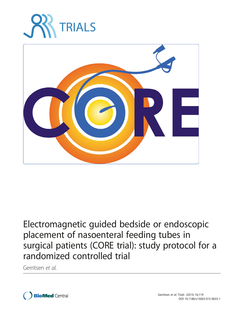



Electromagnetic guided bedside or endoscopic placement of nasoenteral feeding tubes in surgical patients (CORE trial): study protocol for a randomized controlled trial

Gerritsen et al.

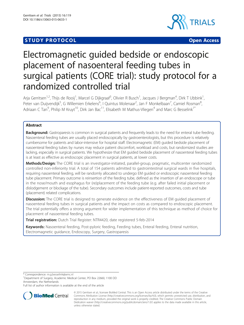# **STUDY PROTOCOL CONSUMING THE CONSUMING OPEN ACCESS**



# Electromagnetic guided bedside or endoscopic placement of nasoenteral feeding tubes in surgical patients (CORE trial): study protocol for a randomized controlled trial

Arja Gerritsen<sup>1,2</sup>, Thijs de Rooij<sup>1</sup>, Marcel G Dijkgraaf<sup>3</sup>, Olivier R Busch<sup>1</sup>, Jacques J Bergman<sup>4</sup>, Dirk T Ubbink<sup>1</sup> , Peter van Duijvendijk<sup>5</sup>, G Willemien Erkelens<sup>6</sup>, I Quintus Molenaar<sup>2</sup>, Jan F Monkelbaan<sup>7</sup>, Camiel Rosman<sup>8</sup> , Adriaan C Tan<sup>9</sup>, Philip M Kruyt<sup>10</sup>, Dirk Jan Bac<sup>11</sup>, Elisabeth M Mathus-Vliegen<sup>4</sup> and Marc G Besselink<sup>1\*</sup>

# Abstract

Background: Gastroparesis is common in surgical patients and frequently leads to the need for enteral tube feeding. Nasoenteral feeding tubes are usually placed endoscopically by gastroenterologists, but this procedure is relatively cumbersome for patients and labor-intensive for hospital staff. Electromagnetic (EM) guided bedside placement of nasoenteral feeding tubes by nurses may reduce patient discomfort, workload and costs, but randomized studies are lacking, especially in surgical patients. We hypothesize that EM guided bedside placement of nasoenteral feeding tubes is at least as effective as endoscopic placement in surgical patients, at lower costs.

Methods/Design: The CORE trial is an investigator-initiated, parallel-group, pragmatic, multicenter randomized controlled non-inferiority trial. A total of 154 patients admitted to gastrointestinal surgical wards in five hospitals, requiring nasoenteral feeding, will be randomly allocated to undergo EM guided or endoscopic nasoenteral feeding tube placement. Primary outcome is reinsertion of the feeding tube, defined as the insertion of an endoscope or tube in the nose/mouth and esophagus for (re)placement of the feeding tube (e.g. after failed initial placement or dislodgement or blockage of the tube). Secondary outcomes include patient-reported outcomes, costs and tube (placement) related complications.

**Discussion:** The CORE trial is designed to generate evidence on the effectiveness of EM guided placement of nasoenteral feeding tubes in surgical patients and the impact on costs as compared to endoscopic placement. The trial potentially offers a strong argument for wider implementation of this technique as method of choice for placement of nasoenteral feeding tubes.

**Trial registration:** Dutch Trial Register: [NTR4420,](http://www.trialregister.nl/trialreg/admin/rctview.asp?TC=4420) date registered 5-feb-2014

Keywords: Nasoenteral feeding, Post-pyloric feeding, Feeding tubes, Enteral feeding, Enteral nutrition, Electromagnetic guidance, Endoscopy, Surgery, Gastroparesis

\* Correspondence: [m.g.besselink@amc.nl](mailto:m.g.besselink@amc.nl) <sup>1</sup>

Department of Surgery, Academic Medical Center, PO Box 22660, 1100 DD Amsterdam, the Netherlands

Full list of author information is available at the end of the article



© 2015 Gerritsen et al.; licensee BioMed Central. This is an Open Access article distributed under the terms of the Creative Commons Attribution License [\(http://creativecommons.org/licenses/by/4.0\)](http://creativecommons.org/licenses/by/4.0), which permits unrestricted use, distribution, and reproduction in any medium, provided the original work is properly credited. The Creative Commons Public Domain Dedication waiver [\(http://creativecommons.org/publicdomain/zero/1.0/](http://creativecommons.org/publicdomain/zero/1.0/)) applies to the data made available in this article, unless otherwise stated.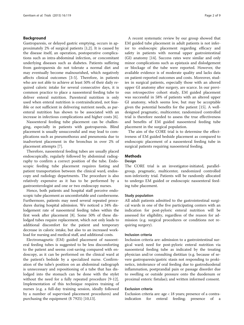# Background

Gastroparesis, or delayed gastric emptying, occurs in approximately 2% of surgical patients [\[1,2](#page-8-0)]. It is caused by the disease itself, an operation, postoperative complications such as intra-abdominal infection, or concomitant underlying diseases such as diabetes. Patients suffering from gastroparesis do not tolerate a normal diet and may eventually become malnourished, which negatively affects clinical outcomes [[3-5](#page-8-0)]. Therefore, in patients who are not able to achieve at least 50% of their daily required caloric intake for several consecutive days, it is common practice to place a nasoenteral feeding tube to deliver enteral nutrition. Parenteral nutrition is only used when enteral nutrition is contraindicated, not feasible or not sufficient in delivering nutrient needs, as parenteral nutrition has shown to be associated with an increase in infectious complications and higher costs [\[6](#page-8-0)].

Nasoenteral feeding tube placement can be challenging, especially in patients with gastroparesis. Blind placement is usually unsuccessful and may lead to complications such as pneumothorax and pneumonia due to inadvertent placement in the bronchus in over 2% of placement attempts [\[7](#page-8-0)].

Therefore, nasoenteral feeding tubes are usually placed endoscopically, regularly followed by abdominal radiography to confirm a correct position of the tube. Endoscopic feeding tube placement requires fasting and patient transportation between the clinical ward, endoscopy and radiology departments. The procedure is also relatively expensive as it has to be performed by a gastroenterologist and one or two endoscopy nurses.

Hence, both patients and hospital staff perceive endoscopic tube placement as uncomfortable and cumbersome. Furthermore, patients may need several repeated procedures during hospital admission. We noticed a 34% dislodgement rate of nasoenteral feeding tubes within the first week after placement [\[8](#page-8-0)]. Some 50% of these dislodged tubes require replacement, which not only leads to additional discomfort for the patient and temporary decrease in caloric intake, but also to an increased workload for nursing and medical staff, and additional costs.

Electromagnetic (EM) guided placement of nasoenteral feeding tubes is suggested to be less discomforting to the patient and seems cost-saving compared with endoscopy, as it can be performed on the clinical ward at the patient's bedside by a specialized nurse. Confirmation of the tube's position on an abdominal radiograph is unnecessary and repositioning of a tube that has dislodged into the stomach can be done with the stylet without the need for a fully repeated procedure [[9-12](#page-8-0)]. Implementation of this technique requires training of nurses (e.g. a full-day training session, ideally followed by a number of supervised placement procedures) and purchasing the equipment (\$ 7925) [\[10,13\]](#page-8-0).

A recent systematic review by our group showed that EM guided tube placement in adult patients is not inferior to endoscopic placement regarding efficacy and safety in patients with normal upper gastrointestinal (GI) anatomy [\[14](#page-8-0)]. Success rates were similar and only minor complications such as epistaxis and dislodgement or blockage of the tube were reported. However, the available evidence is of moderate quality and lacks data on patient-reported outcomes and costs. Moreover, studies in surgical patients, especially those with an altered upper GI anatomy after surgery, are scarce. In our previous retrospective cohort study, EM guided placement was successful in 58% of patients with an altered upper GI anatomy, which seems low, but may be acceptable given the potential benefits for the patient [\[15\]](#page-8-0). A welldesigned pragmatic, multicenter, randomized controlled trial is therefore needed to assess the true effectiveness and benefits of EM guided nasoenteral feeding tube placement in the surgical population.

The aim of the CORE trial is to determine the effectiveness of EM guided bedside placement as compared to endoscopic placement of a nasoenteral feeding tube in surgical patients requiring nasoenteral feeding.

# **Methods**

#### Design

The CORE trial is an investigator-initiated, parallelgroup, pragmatic, multicenter, randomized controlled non-inferiority trial. Patients will be randomly allocated to undergo EM guided or endoscopic nasoenteral feeding tube placement.

# Study population

All adult patients admitted to the gastrointestinal surgical wards in one of the five participating centers with an indication for post-pyloric enteral nutrition will be assessed for eligibility, regardless of the reason for admission (e.g. surgical procedures or conditions not requiring surgery).

# Inclusion criteria

Inclusion criteria are: admission to a gastrointestinal surgical ward; need for post-pyloric enteral nutrition via nasoenteral feeding tube as indicated by the treating physician and/or consulting dietitian (e.g. because of severe gastroparesis/gastric stasis not responding to prokinetics, intolerance of oral feeding due to gastroduodenal inflammation, postprandial pain or passage disorder due to swelling or outside pressure onto the duodenum or proximal enteric fistulae); and written informed consent.

#### Exclusion criteria

Exclusion criteria are: age < 18 years; presence of a contraindication for enteral feeding; presence of a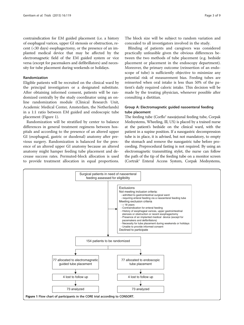contraindication for EM guided placement (i.e. a history of esophageal varices, upper GI stenosis or obstruction, recent (<30 days) esophagectomy, or the presence of an implanted medical device that may be affected by the electromagnetic field of the EM guided system or vice versa (except for pacemakers and defibrillators) and necessity for tube placement during weekends or holidays.

#### Randomization

Eligible patients will be recruited on the clinical ward by the principal investigators or a designated substitute. After obtaining informed consent, patients will be randomized centrally by the study coordinator using an online randomization module (Clinical Research Unit, Academic Medical Center, Amsterdam, the Netherlands) in a 1:1 ratio between EM guided and endoscopic tube placement (Figure 1).

Randomization will be stratified by center to balance differences in general treatment regimens between hospitals and according to the presence of an altered upper GI (esophageal, gastric or duodenal) anatomy after previous surgery. Randomization is balanced for the presence of an altered upper GI anatomy because an altered anatomy might hamper feeding tube placement and decrease success rates. Permuted-block allocation is used to provide treatment allocation in equal proportions.

The block size will be subject to random variation and concealed to all investigators involved in the study.

Blinding of patients and caregivers was considered practically unfeasible given the obvious differences between the two methods of tube placement (e.g. bedside placement or placement in the endoscopy department). Moreover, the primary outcome (reinsertion of an endoscope of tube) is sufficiently objective to minimize any potential risk of measurement bias. Feeding tubes are reinserted when oral intake is less than 50% of the patient's daily required caloric intake. This decision will be made by the treating physician, whenever possible after consulting a dietitian.

# Group A: Electromagnetic guided nasoenteral feeding tube placement

The feeding tube (Corflo® nasojejunal feeding tube, Corpak Medsystems, Wheeling, Ill, US) is placed by a trained nurse at the patient's bedside on the clinical ward, with the patient in a supine position. If a nasogastric decompression tube is in place, it is advised, but not mandatory, to empty the stomach and remove the nasogastric tube before proceeding. Preprocedural fasting is not required. By using an electromagnetic transmitting stylet, the nurse can follow the path of the tip of the feeding tube on a monitor screen (Cortrak® Enteral Access System, Corpak Medsystems,

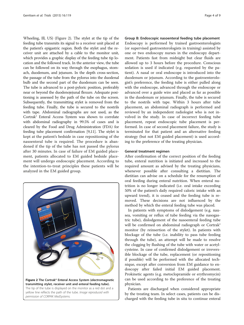Wheeling, Ill, US) (Figure 2). The stylet at the tip of the feeding tube transmits its signal to a receiver unit placed at the patient's epigastric region. Both the stylet and the receiver unit are attached by a cable to the monitor unit, which provides a graphic display of the feeding tube tip location and the followed track. In the anterior view, the tube can be followed on its way through the esophagus, stomach, duodenum, and jejunum. In the depth cross-section, the passage of the tube from the pylorus into the duodenal bulb and the second part of the duodenum can be seen. The tube is advanced to a post-pyloric position, preferably near or beyond the duodenojejunal flexure. Adequate positioning is assessed by the path of the tube on the screen. Subsequently, the transmitting stylet is removed from the feeding tube. Finally, the tube is secured to the nostrils with tape. Abdominal radiographs are not used, as the Cortrak® Enteral Access System was shown to correlate with abdominal radiography in 99.5% of cases and is cleared by the Food and Drug Administration (FDA) for feeding tube placement confirmation [\[9,11\]](#page-8-0). The stylet is kept at the patient's bedside in case repositioning of the nasoenteral tube is required. The procedure is abandoned if the tip of the tube has not passed the pylorus after 30 minutes. In case of failure of EM guided placement, patients allocated to EM guided bedside placement will undergo endoscopic placement. According to the intention-to-treat principles these patients will be analyzed in the EM guided group.



Group B: Endoscopic nasoenteral feeding tube placement Endoscopy is performed by trained gastroenterologists (or supervised gastroenterologists in training) assisted by one or two endoscopy nurses in the endoscopy department. Patients fast from midnight but clear fluids are allowed up to 3 hours before the procedure. Conscious sedation is used if indicated (e.g. requested by the patient). A nasal or oral endoscope is introduced into the duodenum or jejunum. According to the gastroenterologist's preference, the feeding tube is either pulled along with the endoscope, advanced through the endoscope or advanced over a guide wire and placed as far as possible in the duodenum or jejunum. Finally, the tube is secured to the nostrils with tape. Within 3 hours after tube placement, an abdominal radiograph is performed and reviewed by an independent radiologist who is not involved in the study. In case of incorrect feeding tube placement, repeat endoscopic tube placement is performed. In case of second placement failure, the study is terminated for that patient and an alternative feeding strategy (but not EM guided placement) is used according to the preference of the treating physician.

# General treatment regimen

After confirmation of the correct position of the feeding tube, enteral nutrition is initiated and increased to the required amount as advised by the treating physicians, whenever possible after consulting a dietitian. The dietitian can advise on a schedule for the resumption of oral feeding during enteral nutrition. When enteral nutrition is no longer indicated (i.e. oral intake exceeding 50% of the patient's daily required caloric intake with an upward trend), it is ceased and the feeding tube is removed. These decisions are not influenced by the method by which the enteral feeding tube was placed.

In patients with symptoms of dislodgement (e.g. nausea, vomiting or reflux of tube feeding via the nasogastric tube), dislodgement of the nasoenteral feeding tube will be confirmed on abdominal radiograph or Cortrak® monitor (by reinsertion of the stylet). In patients with blockage of the tube (i.e. inability to pass tube feeding through the tube), an attempt will be made to resolve the clogging by flushing of the tube with water or acetylcysteine. In case of confirmed dislodgement or irreversible blockage of the tube, replacement (or repositioning if possible) will be performed with the allocated technique, except after conversion from EM guidance to endoscopy after failed initial EM guided placement. Prokinetic agents (e.g. metoclopramide or erythromycin) can be used according to the preference of the treating physician.

Patients are discharged when considered appropriate by the treating team. In select cases, patients can be discharged with the feeding tube in situ to continue enteral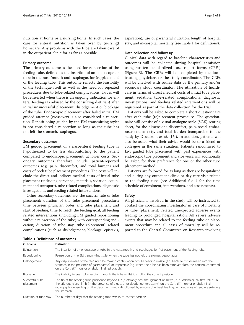nutrition at home or a nursing home. In such cases, the care for enteral nutrition is taken over by (nursing) homecare. Any problems with the tube are taken care of in the outpatient clinic for as far as possible.

#### Primary outcome

The primary outcome is the need for reinsertion of the feeding tube, defined as the insertion of an endoscope or tube in the nose/mouth and esophagus for (re)placement of the feeding tube. This outcome reflects the feasibility of the technique itself as well as the need for repeated procedures due to tube-related complications. Tubes will be reinserted when there is an ongoing indication for enteral feeding (as advised by the consulting dietitian) after initial unsuccessful placement, dislodgement or blockage of the tube. Endoscopic placement after failed initial EM guided attempt (crossover) is also considered a reinsertion. Repositioning guided by the EM transmitting stylet is not considered a reinsertion as long as the tube has not left the stomach/esophagus.

# Secondary outcomes

EM guided placement of a nasoenteral feeding tube is hypothesized to be less discomforting to the patient compared to endoscopic placement, at lower costs. Secondary outcomes therefore include: patient-reported outcomes (e.g. pain, discomfort, and total burden) and costs of both tube placement procedures. The costs will include the direct and indirect medical costs of initial tube placement (including personnel, materials, sedation, equipment and transport), tube related complications, diagnostic investigations, and feeding related interventions.

Other secondary outcomes are: the success rate of tube placement; duration of the tube placement procedure; time between physician order and tube placement and start of feeding; time to reach the feeding goal; all feeding related interventions (including EM guided repositioning without reinsertion of the tube) with corresponding indication; duration of tube stay; tube (placement) related complications (such as dislodgement, blockage, epistaxis, aspiration); use of parenteral nutrition; length of hospital stay; and in-hospital mortality (see Table 1 for definitions).

# Data collection and follow-up

Clinical data with regard to baseline characteristics and outcomes will be collected during hospital admission using written standardized case report forms (CRFs) (Figure [3\)](#page-6-0). The CRFs will be completed by the local treating physicians or the study coordinator. The CRFs will be checked with source data by the primary and/or secondary study coordinator. The utilization of healthcare in terms of direct medical costs of initial tube placement, sedation, tube-related complications, diagnostic investigations, and feeding related interventions will be registered as part of the data collection for the trial.

Patients will be asked to complete a short questionnaire after each tube (re)placement procedure. The questionnaire will consist of a visual analogue scale (VAS) scoring sheet, for the dimensions discomfort, pain, social embarrassment, anxiety, and total burden (comparable to the study by Deutekom et al. [\[16](#page-9-0)]). In addition, patients will also be asked what their advice would be to a friend or colleague in the same situation. Patients randomized to EM guided tube placement with past experiences with endoscopic tube placement and vice versa will additionally be asked for their preference for one or the other tube placement method.

Patients are followed for as long as they are hospitalized and during any outpatient clinic or day-care visit related to the feeding tube (see Additional file [1](#page-8-0) for the time schedule of enrolment, interventions, and assessments).

#### Safety

All physicians involved in the study will be instructed to contact the coordinating investigator in case of mortality or tube (placement) related unexpected adverse events leading to prolonged hospitalization. All severe adverse events that may be related to the feeding tube or placement procedure and all cases of mortality will be reported to the Central Committee on Research involving

| <b>Table 1 Definitions of outcomes</b> |
|----------------------------------------|
|----------------------------------------|

| Outcome                      | <b>Definition</b>                                                                                                                                                                                                                                                                                                                                                                                |
|------------------------------|--------------------------------------------------------------------------------------------------------------------------------------------------------------------------------------------------------------------------------------------------------------------------------------------------------------------------------------------------------------------------------------------------|
| Reinsertion                  | The insertion of an endoscope or tube in the nose/mouth and esophagus for (re) placement of the feeding tube.                                                                                                                                                                                                                                                                                    |
| Repositioning                | Reinsertion of the EM transmitting stylet when the tube has not left the stomach/esophagus.                                                                                                                                                                                                                                                                                                      |
| Dislodgement                 | Any displacement of the feeding tube making continuation of tube feeding unsafe (e.g. because it is delivered into the<br>stomach in the presence of gastroparesis) or impossible (e.g. when the tube has been removed from the patient), confirmed<br>on the Cortrak <sup>®</sup> monitor or abdominal radiograph.                                                                              |
| Blockage                     | The inability to pass tube feeding through the tube whilst it is still in the correct position.                                                                                                                                                                                                                                                                                                  |
| Successful tube<br>placement | The tip of the feeding tube positioned beyond D2 [preferably near the ligament of Treitz (i.e. duodenojejunal flexure)] or in<br>the efferent jejunal limb (in the presence of a gastro- or duodenoenterostomy) on the Cortrak® monitor or abdominal<br>radiograph (depending on the placement method) followed by successful enteral feeding, without signs of feeding entering<br>the stomach. |
| Duration of tube stay        | The number of days that the feeding tube was in its correct position.                                                                                                                                                                                                                                                                                                                            |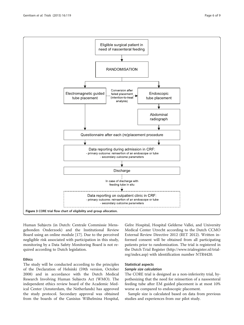<span id="page-6-0"></span>Gerritsen et al. Trials (2015) 16:119 Page 6 of 9



Human Subjects (in Dutch: Centrale Commissie Mensgebonden Onderzoek) and the Institutional Review Board using an online module [[17\]](#page-9-0). Due to the perceived negligible risk associated with participation in this study, monitoring by a Data Safety Monitoring Board is not required according to Dutch legislation.

# Ethics

The study will be conducted according to the principles of the Declaration of Helsinki (59th version, October 2008) and in accordance with the Dutch Medical Research Involving Human Subjects Act (WMO). The independent ethics review board of the Academic Medical Center (Amsterdam, the Netherlands) has approved the study protocol. Secondary approval was obtained from the boards of the Canisius Wilhelmina Hospital,

Gelre Hospital, Hospital Gelderse Vallei, and University Medical Center Utrecht according to the Dutch CCMO External Review Directive 2012 (RET 2012). Written informed consent will be obtained from all participating patients prior to randomization. The trial is registered in the Dutch Trial Register [\(http://www.trialregister.nl/trial](http://www.trialregister.nl/trialreg/index.asp)[reg/index.asp](http://www.trialregister.nl/trialreg/index.asp)) with identification number [NTR4420.](http://www.trialregistry.nl/NTR4420)

# Statistical aspects

#### Sample size calculation

The CORE trial is designed as a non-inferiority trial, hypothesizing that the need for reinsertion of a nasoenteral feeding tube after EM guided placement is at most 10% worse as compared to endoscopic placement.

Sample size is calculated based on data from previous studies and experiences from our pilot study.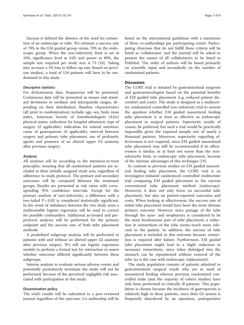Success is defined the absence of the need for reinsertion of an endoscope or tube. We estimate a success rate of 78% in the EM guided group versus 70% in the endoscopic group. When the non-inferiority limit is set at 10%, significance level at 0.05 and power at 80%, the sample size required per study arm is 73 [\[18\]](#page-9-0). Taking into account a 5% loss to follow-up rate (based on previous studies), a total of 154 patients will have to be randomized in this study.

#### Descriptive statistics

For dichotomous data, frequencies will be presented. Continuous data will be presented as means and standard deviations or medians and interquartile ranges, depending on their distribution. Baseline characteristics (all prior to randomization) include: age, sex, body mass index, American Society of Anesthesiologists (ASA) physical status, indication for hospital admission, type of surgery (if applicable), indication for enteral nutrition, cause of gastroparesis (if applicable), interval between surgery and primary tube placement, use of prokinetic agents and presence of an altered upper GI anatomy after previous surgery.

#### Analyses

All analyses will be according to the intention-to-treat principles, meaning that all randomized patients are included in their initially assigned study arm, regardless of adherence to study protocol. The primary and secondary outcomes will be compared between the treatment groups. Results are presented as risk ratios with corresponding 95% confidence intervals. Except for the primary analysis of non-inferiority, a difference with a two-tailed P < 0.05 is considered statistically significant. In the event of imbalance between the two study arms a multivariable logistic regression will be used to correct for possible confounders. Additional as-treated and perprotocol analyses will be performed for the primary endpoint and the success rate of both tube placement methods.

A predefined subgroup analysis will be performed in patients with and without an altered upper GI anatomy after previous surgery. We will use logistic regression models to perform a formal test for interaction to assess whether outcomes differed significantly between these subgroups.

Interim analysis to evaluate serious adverse events and potentially prematurely terminate the study will not be performed, because of the perceived negligible risk associated with participation in this study.

#### Dissemination policy

The trial's results will be submitted to a peer-reviewed journal regardless of the outcome. Co-authorship will be

based on the international guidelines with a maximum of three co-authorships per participating center. Participating clinicians that do not fulfill these criteria will be listed as 'collaborator' and the journal will be asked to present the names of all collaborators to be listed in PubMed. The order of authors will be based primarily on scientific input and secondarily on the number of randomized patients.

# **Discussion**

The CORE trial is initiated by gastrointestinal surgeons and gastroenterologists based on the potential benefits of EM guided tube placement (e.g. reduced patient discomfort and costs). The study is designed as a multicenter, randomized controlled non-inferiority trial to answer the question whether EM guided nasoenteral feeding tube placement is at least as effective as endoscopic placement in surgical patients. Superiority would, of course, be preferred, but such a trial would be practically impossible given the required sample size of nearly a thousand patients. Moreover, superiority regarding effectiveness is not required, since EM guided nasoenteral tube placement may still be recommended if its effectiveness is similar, or at least not worse than the noninferiority limit, to endoscopic tube placement, because of the intrinsic advantages of this technique [\[19](#page-9-0)].

In contrast to previous studies on EM guided nasoenteral feeding tube placement, the CORE trial is an investigator-initiated randomized controlled multicenter trial comparing EM guided placement to the current conventional tube placement method (endoscopy). Moreover, it does not only focus on successful tube placement, but also on patient-reported outcomes and costs. When looking at effectiveness, the success rate of initial tube placement would have been the most obvious primary outcome. However, since passage of the tube through the naso- and oropharynx is considered to be the most burdensome part of tube placement, a reduction in reinsertions of the tube seems much more relevant to the patient. In addition, the success of tube placement is included in this outcome because reinsertion is required after failure. Furthermore, EM guided tube placement might lead to a slight reduction in necessary reinsertions, since tubes dislodged into the stomach can be repositioned without removal of the tube (as is the case with endoscopic replacement).

The study population consists of patients admitted to gastrointestinal surgical wards who are in need of nasoenteral feeding whereas previous randomized controlled trials (and the majority of cohort studies) have only been performed in critically ill patients. This population is chosen because the incidence of gastroparesis is relatively high in these patients, since their GI system is frequently disordered by an operation, postoperative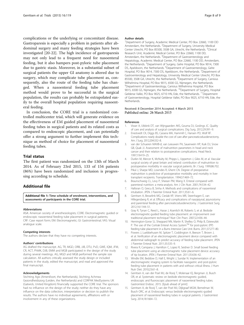<span id="page-8-0"></span>complications or the underlying or concomitant disease. Gastroparesis is especially a problem in patients after abdominal surgery and many feeding strategies have been investigated [[20](#page-9-0)-[22\]](#page-9-0). The high incidence of gastroparesis may not only lead to a frequent need for nasoenteral feeding, but it also hampers post-pyloric tube placement due to gastric stasis. Moreover, in a substantial subset of surgical patients the upper GI anatomy is altered due to surgery, which may complicate tube placement as, consequently, also the route of the feeding tube has changed. When a nasoenteral feeding tube placement method would prove to be successful in the surgical population, the results can probably be extrapolated easily to the overall hospital population requiring nasoenteral feeding.

In conclusion, the CORE trial is a randomized controlled multicenter trial, which will generate evidence on the effectiveness of EM guided placement of nasoenteral feeding tubes in surgical patients and its related costs as compared to endoscopic placement, and can potentially offer a strong argument to further implement this technique as method of choice for placement of nasoenteral feeding tubes.

# Trial status

The first patient was randomized on the 13th of March 2014. As of February 23rd 2015, 133 of 154 patients (86%) have been randomized and inclusion is progressing according to schedule.

# Additional file

[Additional file 1:](http://www.trialsjournal.com/content/supplementary/s13063-015-0633-1-s1.doc) Time schedule of enrolment, interventions, and assessments of participants in the CORE trial.

#### Abbreviations

ASA: American society of anesthesiologists; CORE: Electromagnetic guided or endoscopic nasoenteral feeding tube placement in surgical patients; CRF: Case report form; EM: Electromagnetic; GI: Gastrointestinal; VAS: Visual analogue scale.

#### Competing interests

The authors declare that they have no competing interests.

#### Authors' contributions

AG drafted the manuscript. AG, TR, MGD, ORB, JJB, DTU, PvD, GWE, IQM, JFM, CR, ACT, PhMK, DJB, EMM and MGB participated in the design of the study during several meetings. AG, MGD and MGB performed the sample size calculation. All authors critically assessed the study design or included patients in the study, edited the manuscript, and read and approved the final manuscript.

#### Acknowledgements

Stichting Agis (Amersfoort, the Netherlands), Stichting Achmea Gezondheidszorg (Leiden, the Netherlands) and CORPAK MedSystems UK (Gatwick, United Kingdom) financially supported the CORE trial. The sponsors had no influence on the design of the study; neither do they have any influence on the data collection, interpretation or decision to publish the results. The authors have no individual agreements, affiliations with or involvement in any of these organizations.

#### Author details

<sup>1</sup>Department of Surgery, Academic Medical Center, PO Box 22660, 1100 DD Amsterdam, the Netherlands. <sup>2</sup>Department of Surgery, University Medical Center Utrecht, PO Box 85500, 3508 GA, Utrecht, the Netherlands. <sup>3</sup>Clinical Research Unit, Academic Medical Center, PO Box 22660, 1100 DD, Amsterdam, the Netherlands. <sup>4</sup>Department of Gastroenterology and Hepatology, Academic Medical Center, PO Box 22660, 1100 DD, Amsterdam, the Netherlands. <sup>5</sup>Department of Surgery, Gelre Hospital, PO Box 9014, 7300 DS, Apeldoorn, the Netherlands. <sup>6</sup>Department of Gastroenterology, Gelre Hospital, PO Box 9014, 7300 DS, Apeldoorn, the Netherlands. <sup>7</sup>Department of Gastroenterology and Hepatology, University Medical Center Utrecht, PO Box 85500, 3508 GA, Utrecht, the Netherlands. <sup>8</sup>Department of Surgery, Canisius Wilhelmina Hospital, PO Box 9015, 6500 GS, Nijmegen, the Netherlands. 9 Department of Gastroenterology, Canisius Wilhelmina Hospital, PO Box 9015, 6500 GS, Nijmegen, the Netherlands. <sup>10</sup>Department of Surgery, Hospital Gelderse Vallei, PO Box 9025, 6710 HN, Ede, the Netherlands. <sup>11</sup>Department of Gastroenterology, Hospital Gelderse Vallei, PO Box 9025, 6710 HN, Ede, the **Netherlands** 

#### Received: 8 December 2014 Accepted: 4 March 2015 Published online: 26 March 2015

#### References

- 1. Visser A, Ubbink DT, van Wijngaarden AKS, Gouma DJ, Goslings JC. Quality of care and analysis of surgical complications. Dig Surg. 2012;29:391–9.
- 2. Enestvedt CK, Diggs BS, Cassera MA, Hammill C, Hansen PD, Wolf RF. Complications nearly double the cost of care after pancreaticoduodenectomy. Am J Surg. 2012;204:332–8.
- 3. van der Schueren MAVB-d, van Leeuwen PA, Sauerwein HP, Kuik DJ, Snow GB, Quak JJ. Assessment of malnutrition parameters in head and neck cancer and their relation to postoperative complications. Head Neck. 1997;19:419–25.
- 4. Durkin M, Mercer K, McNulty M, Phipps L, Upperton J, Giles M, et al. Vascular surgical society of great britain and ireland: contribution of malnutrition to postoperative morbidity in vascular surgical patients. Br J Surg. 1999;86:702.
- 5. Pikul J, Sharpe MD, Lowndes R, Ghent CN. Degree of preoperative malnutrition is predictive of postoperative morbidity and mortality in liver transplant recipients. Transplantation. 1994;57:469–72.
- 6. Braunschweig CL, Levy P, Sheean PM, Wang X. Enteral compared with parenteral nutrition: a meta-analysis. Am J Clin Nutr. 2001;74:534–42.
- 7. Halloran O, Grecu B, Sinha A. Methods and complications of nasoenteral intubation. JPEN J Parenter Enteral Nutr. 2011;35:61–6.
- 8. Gerritsen A, Besselink MG, Cieslak KP, Vriens MR, Steenhagen E, van Hillegersberg R, et al. Efficacy and complications of nasojejunal, jejunostomy and parenteral feeding after pancreaticoduodenectomy. J Gastrointest Surg. 2012;16:1144–51.
- 9. Gray R, Tynan C, Reed L, Hasse J, Kramlich M, Roberts S, et al. Bedside electromagnetic-guided feeding tube placement: an improvement over traditional placement technique? Nutr Clin Pract. 2007;22:436–44.
- 10. Hemington-Gorse SJ, Sheppard NN, Martin R, Shelley O, Philp B, Dziewulski P. The use of the Cortrak Enteral Access System<sup>TM</sup> for post-pyloric (PP) feeding tube placement in a Burns Intensive Care Unit. Burns. 2011;37:277–80.
- 11. Powers J, Luebbehusen M, Spitzer T, Coddington A, Beeson T, Brown J, et al. Verification of an electromagnetic placement device compared with abdominal radiograph to predict accuracy of feeding tube placement. JPEN J Parenter Enteral Nutr. 2011;35:535–9.
- 12. Rivera R, Campana J, Hamilton C, Lopez R, Seidner D. Small bowel feeding tube placement using an electromagnetic tube placement device: accuracy of tip location. JPEN J Parenter Enteral Nutr. 2011;35:636–42.
- 13. Windle EM, Beddow D, Hall E, Wright J, Sundar N. Implementation of an electromagnetic imaging system to facilitate nasogastric and post-pyloric feeding tube placement in patients with and without critical illness. J Hum Nutr Diet. 2010;23:61–8.
- 14. Gerritsen A, van der Poel MJ, de Rooij T, Molenaar IQ, Bergman JJ, Busch OR, et al. Systematic review on bedside electromagnetic guided, endoscopic and fluoroscopic placement of nasoenteral feeding tubes. Gastrointest Endosc. 2015. [Epub ahead of print]
- 15. Gerritsen A, de Rooij T, van der Poel MJ, Dijkgraaf MGW, Bemelman W, Busch ORC, et al. Endoscopic versus bedside electromagnetic-guided placement of nasoenteral feeding tubes in surgical patients. J Gastrointest Surg. 2014;18:1664–72.